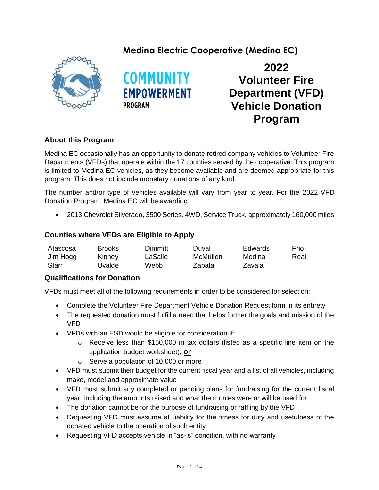# **Medina Electric Cooperative (Medina EC)**





**2022 Volunteer Fire Department (VFD) Vehicle Donation Program**

## **About this Program**

Medina EC occasionally has an opportunity to donate retired company vehicles to Volunteer Fire Departments (VFDs) that operate within the 17 counties served by the cooperative. This program is limited to Medina EC vehicles, as they become available and are deemed appropriate for this program. This does not include monetary donations of any kind.

The number and/or type of vehicles available will vary from year to year. For the 2022 VFD Donation Program, Medina EC will be awarding:

• 2013 Chevrolet Silverado, 3500 Series, 4WD, Service Truck, approximately 160,000 miles

#### **Counties where VFDs are Eligible to Apply**

| Atascosa | Brooks | Dimmitt | Duval    | Edwards | <b>Frio</b> |
|----------|--------|---------|----------|---------|-------------|
| Jim Hogg | Kinney | LaSalle | McMullen | Medina  | Real        |
| Starr    | Uvalde | Webb    | Zapata   | Zavala  |             |

### **Qualifications for Donation**

VFDs must meet all of the following requirements in order to be considered for selection:

- Complete the Volunteer Fire Department Vehicle Donation Request form in its entirety
- The requested donation must fulfill a need that helps further the goals and mission of the VFD
- VFDs with an ESD would be eligible for consideration if:
	- $\circ$  Receive less than \$150,000 in tax dollars (listed as a specific line item on the application budget worksheet); **or**
	- $\circ$  Serve a population of 10,000 or more
- VFD must submit their budget for the current fiscal year and a list of all vehicles, including make, model and approximate value
- VFD must submit any completed or pending plans for fundraising for the current fiscal year, including the amounts raised and what the monies were or will be used for
- The donation cannot be for the purpose of fundraising or raffling by the VFD
- Requesting VFD must assume all liability for the fitness for duty and usefulness of the donated vehicle to the operation of such entity
- Requesting VFD accepts vehicle in "as-is" condition, with no warranty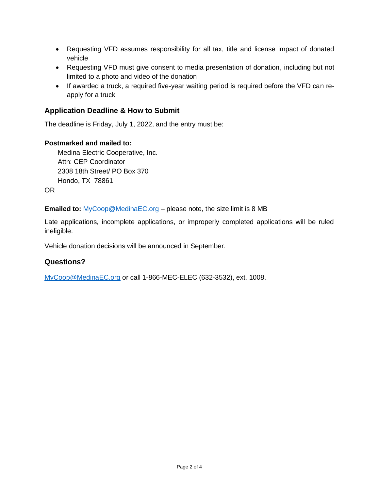- Requesting VFD assumes responsibility for all tax, title and license impact of donated vehicle
- Requesting VFD must give consent to media presentation of donation, including but not limited to a photo and video of the donation
- If awarded a truck, a required five-year waiting period is required before the VFD can reapply for a truck

### **Application Deadline & How to Submit**

The deadline is Friday, July 1, 2022, and the entry must be:

#### **Postmarked and mailed to:**

Medina Electric Cooperative, Inc. Attn: CEP Coordinator 2308 18th Street/ PO Box 370 Hondo, TX 78861

OR

**Emailed to:** [MyCoop@MedinaEC.org](mailto:MyCoop@MedinaEC.org) – please note, the size limit is 8 MB

Late applications, incomplete applications, or improperly completed applications will be ruled ineligible.

Vehicle donation decisions will be announced in September.

### **Questions?**

[MyCoop@MedinaEC.org](mailto:MyCoop@MedinaEC.org) or call 1-866-MEC-ELEC (632-3532), ext. 1008.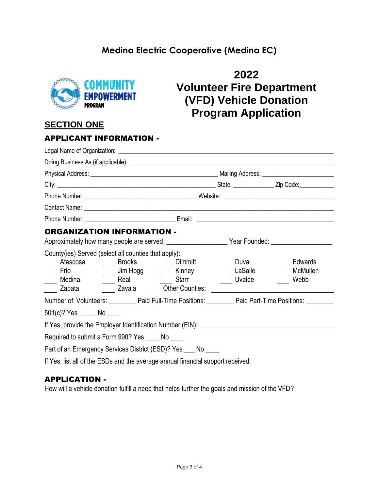# **Medina Electric Cooperative (Medina EC)**



# **2022 Volunteer Fire Department (VFD) Vehicle Donation Program Application**

# **SECTION ONE**

| <b>APPLICANT INFORMATION -</b>                                                                                                                                                                                                                                                                                                     |  |                                                                           |                            |                                                                                                      |  |
|------------------------------------------------------------------------------------------------------------------------------------------------------------------------------------------------------------------------------------------------------------------------------------------------------------------------------------|--|---------------------------------------------------------------------------|----------------------------|------------------------------------------------------------------------------------------------------|--|
|                                                                                                                                                                                                                                                                                                                                    |  |                                                                           |                            |                                                                                                      |  |
|                                                                                                                                                                                                                                                                                                                                    |  |                                                                           |                            |                                                                                                      |  |
|                                                                                                                                                                                                                                                                                                                                    |  |                                                                           |                            |                                                                                                      |  |
|                                                                                                                                                                                                                                                                                                                                    |  |                                                                           |                            |                                                                                                      |  |
|                                                                                                                                                                                                                                                                                                                                    |  |                                                                           |                            |                                                                                                      |  |
| Contact Name: <u>example and the contract of the contract of the contract of the contract of the contract of the contract of the contract of the contract of the contract of the contract of the contract of the contract of the</u>                                                                                               |  |                                                                           |                            |                                                                                                      |  |
|                                                                                                                                                                                                                                                                                                                                    |  |                                                                           |                            |                                                                                                      |  |
| <b>ORGANIZATION INFORMATION -</b><br>Approximately how many people are served: _________________________Year Founded: ___________________<br>County(ies) Served (select all counties that apply):<br>Atascosa <u>______</u> Brooks _______<br>$\overline{\phantom{a}}$<br>Frio<br>____ Medina ______ Real ________ Starr<br>Zapata |  | Dimmitt<br>_____ Jim Hogg _______ Kinney<br>Zavala <b>Other Counties:</b> | Duval<br>LaSalle<br>Uvalde | Edwards<br>McMullen<br>Webb                                                                          |  |
| $501(c)$ ? Yes ________ No _____                                                                                                                                                                                                                                                                                                   |  |                                                                           |                            | Number of: Volunteers: Paid Full-Time Positions: Paid Part-Time Positions: Paid Part-Time Positions: |  |
|                                                                                                                                                                                                                                                                                                                                    |  |                                                                           |                            |                                                                                                      |  |
| Required to submit a Form 990? Yes _____ No _____                                                                                                                                                                                                                                                                                  |  |                                                                           |                            |                                                                                                      |  |
| Part of an Emergency Services District (ESD)? Yes ___ No ____                                                                                                                                                                                                                                                                      |  |                                                                           |                            |                                                                                                      |  |
| If Yes, list all of the ESDs and the average annual financial support received:                                                                                                                                                                                                                                                    |  |                                                                           |                            |                                                                                                      |  |

## APPLICATION -

How will a vehicle donation fulfill a need that helps further the goals and mission of the VFD?